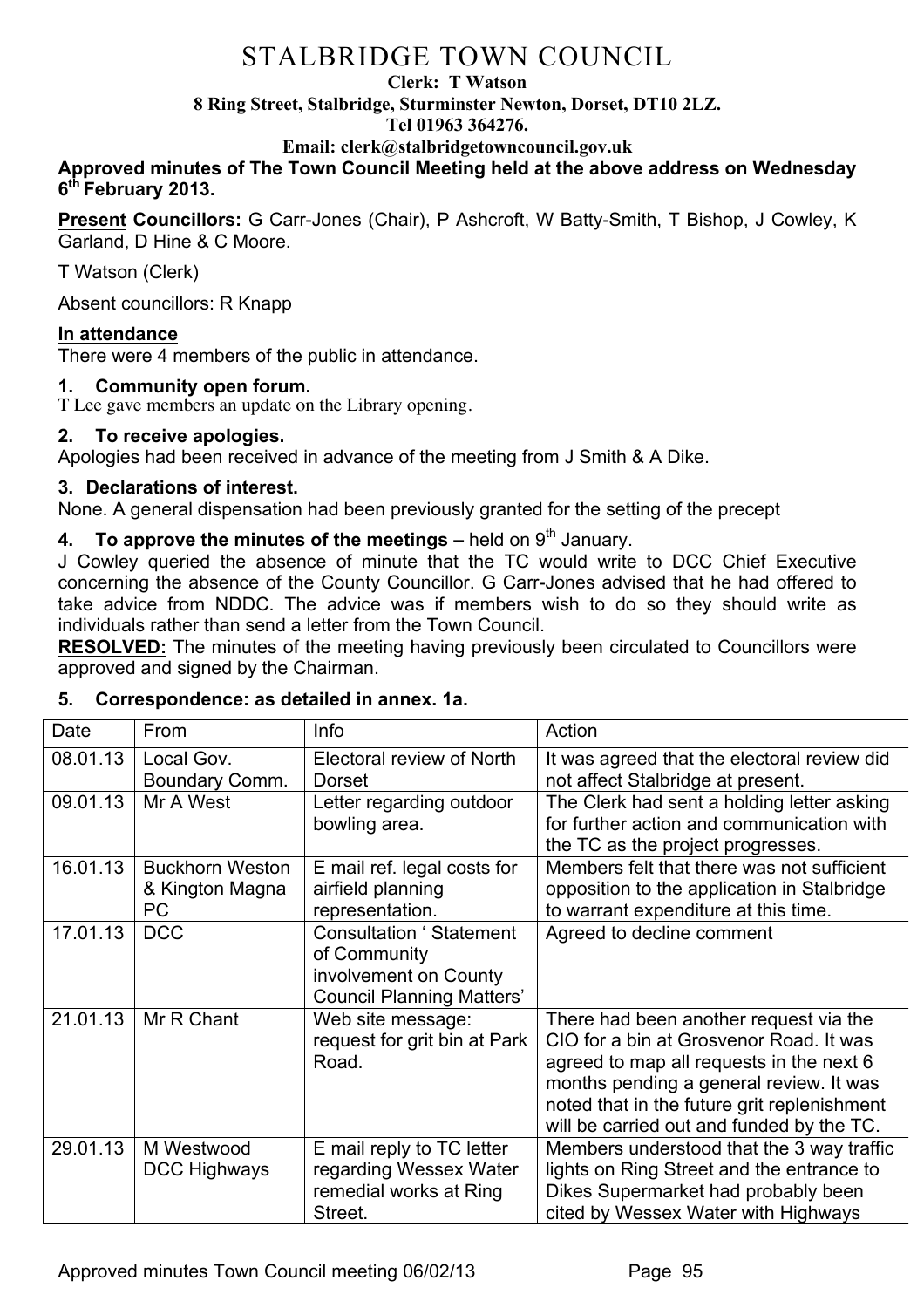### **Clerk: T Watson**

**8 Ring Street, Stalbridge, Sturminster Newton, Dorset, DT10 2LZ.**

### **Tel 01963 364276.**

**Email: clerk@stalbridgetowncouncil.gov.uk**

## **Approved minutes of The Town Council Meeting held at the above address on Wednesday 6th February 2013.**

**Present Councillors:** G Carr-Jones (Chair), P Ashcroft, W Batty-Smith, T Bishop, J Cowley, K Garland, D Hine & C Moore.

T Watson (Clerk)

Absent councillors: R Knapp

# **In attendance**

There were 4 members of the public in attendance.

# **1. Community open forum.**

T Lee gave members an update on the Library opening.

## **2. To receive apologies.**

Apologies had been received in advance of the meeting from J Smith & A Dike.

## **3. Declarations of interest.**

None. A general dispensation had been previously granted for the setting of the precept

## **4. To approve the minutes of the meetings –** held on 9<sup>th</sup> January.

J Cowley queried the absence of minute that the TC would write to DCC Chief Executive concerning the absence of the County Councillor. G Carr-Jones advised that he had offered to take advice from NDDC. The advice was if members wish to do so they should write as individuals rather than send a letter from the Town Council.

**RESOLVED:** The minutes of the meeting having previously been circulated to Councillors were approved and signed by the Chairman.

### **5. Correspondence: as detailed in annex. 1a.**

| Date     | From                                            | Info                                                                                                         | Action                                                                                                                                                                                                                                                               |
|----------|-------------------------------------------------|--------------------------------------------------------------------------------------------------------------|----------------------------------------------------------------------------------------------------------------------------------------------------------------------------------------------------------------------------------------------------------------------|
| 08.01.13 | Local Gov.<br>Boundary Comm.                    | Electoral review of North<br><b>Dorset</b>                                                                   | It was agreed that the electoral review did<br>not affect Stalbridge at present.                                                                                                                                                                                     |
| 09.01.13 | Mr A West                                       | Letter regarding outdoor<br>bowling area.                                                                    | The Clerk had sent a holding letter asking<br>for further action and communication with<br>the TC as the project progresses.                                                                                                                                         |
| 16.01.13 | <b>Buckhorn Weston</b><br>& Kington Magna<br>PC | E mail ref. legal costs for<br>airfield planning<br>representation.                                          | Members felt that there was not sufficient<br>opposition to the application in Stalbridge<br>to warrant expenditure at this time.                                                                                                                                    |
| 17.01.13 | <b>DCC</b>                                      | <b>Consultation ' Statement</b><br>of Community<br>involvement on County<br><b>Council Planning Matters'</b> | Agreed to decline comment                                                                                                                                                                                                                                            |
| 21.01.13 | Mr R Chant                                      | Web site message:<br>request for grit bin at Park<br>Road.                                                   | There had been another request via the<br>CIO for a bin at Grosvenor Road. It was<br>agreed to map all requests in the next 6<br>months pending a general review. It was<br>noted that in the future grit replenishment<br>will be carried out and funded by the TC. |
| 29.01.13 | M Westwood<br>DCC Highways                      | E mail reply to TC letter<br>regarding Wessex Water<br>remedial works at Ring<br>Street.                     | Members understood that the 3 way traffic<br>lights on Ring Street and the entrance to<br>Dikes Supermarket had probably been<br>cited by Wessex Water with Highways                                                                                                 |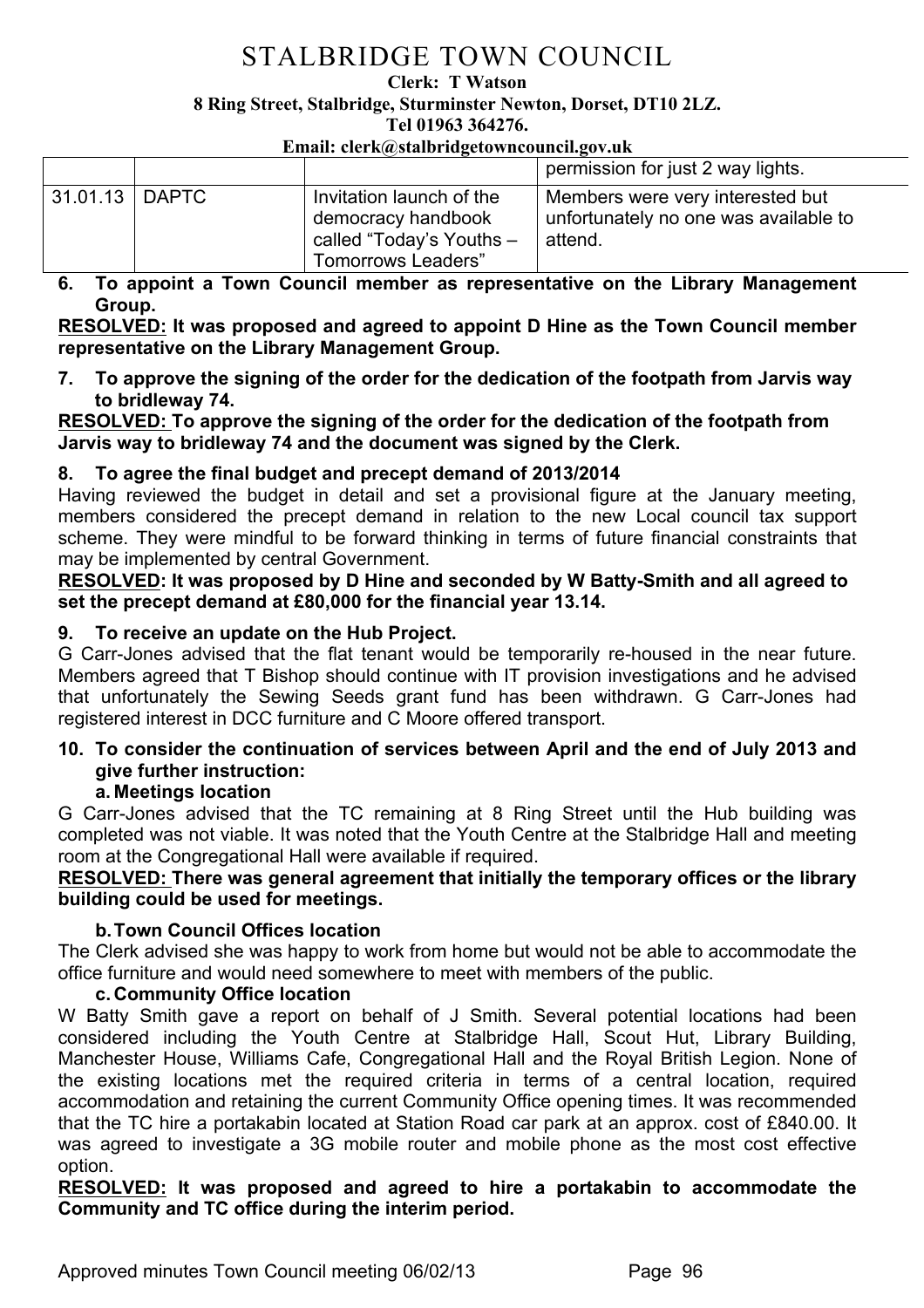### **Clerk: T Watson**

**8 Ring Street, Stalbridge, Sturminster Newton, Dorset, DT10 2LZ.**

**Tel 01963 364276.** 

#### **Email: clerk@stalbridgetowncouncil.gov.uk**

|                  |                                                                                                         | permission for just 2 way lights.                                                    |
|------------------|---------------------------------------------------------------------------------------------------------|--------------------------------------------------------------------------------------|
| 31.01.13   DAPTC | Invitation launch of the<br>democracy handbook<br>called "Today's Youths -<br><b>Tomorrows Leaders"</b> | Members were very interested but<br>unfortunately no one was available to<br>attend. |

**6. To appoint a Town Council member as representative on the Library Management Group.**

**RESOLVED: It was proposed and agreed to appoint D Hine as the Town Council member representative on the Library Management Group.**

**7. To approve the signing of the order for the dedication of the footpath from Jarvis way to bridleway 74.**

**RESOLVED: To approve the signing of the order for the dedication of the footpath from Jarvis way to bridleway 74 and the document was signed by the Clerk.**

## **8. To agree the final budget and precept demand of 2013/2014**

Having reviewed the budget in detail and set a provisional figure at the January meeting, members considered the precept demand in relation to the new Local council tax support scheme. They were mindful to be forward thinking in terms of future financial constraints that may be implemented by central Government.

**RESOLVED: It was proposed by D Hine and seconded by W Batty-Smith and all agreed to set the precept demand at £80,000 for the financial year 13.14.**

## **9. To receive an update on the Hub Project.**

G Carr-Jones advised that the flat tenant would be temporarily re-housed in the near future. Members agreed that T Bishop should continue with IT provision investigations and he advised that unfortunately the Sewing Seeds grant fund has been withdrawn. G Carr-Jones had registered interest in DCC furniture and C Moore offered transport.

# **10. To consider the continuation of services between April and the end of July 2013 and give further instruction:**

### **a. Meetings location**

G Carr-Jones advised that the TC remaining at 8 Ring Street until the Hub building was completed was not viable. It was noted that the Youth Centre at the Stalbridge Hall and meeting room at the Congregational Hall were available if required.

**RESOLVED: There was general agreement that initially the temporary offices or the library building could be used for meetings.** 

# **b.Town Council Offices location**

The Clerk advised she was happy to work from home but would not be able to accommodate the office furniture and would need somewhere to meet with members of the public.

### **c. Community Office location**

W Batty Smith gave a report on behalf of J Smith. Several potential locations had been considered including the Youth Centre at Stalbridge Hall, Scout Hut, Library Building, Manchester House, Williams Cafe, Congregational Hall and the Royal British Legion. None of the existing locations met the required criteria in terms of a central location, required accommodation and retaining the current Community Office opening times. It was recommended that the TC hire a portakabin located at Station Road car park at an approx. cost of £840.00. It was agreed to investigate a 3G mobile router and mobile phone as the most cost effective option.

**RESOLVED: It was proposed and agreed to hire a portakabin to accommodate the Community and TC office during the interim period.**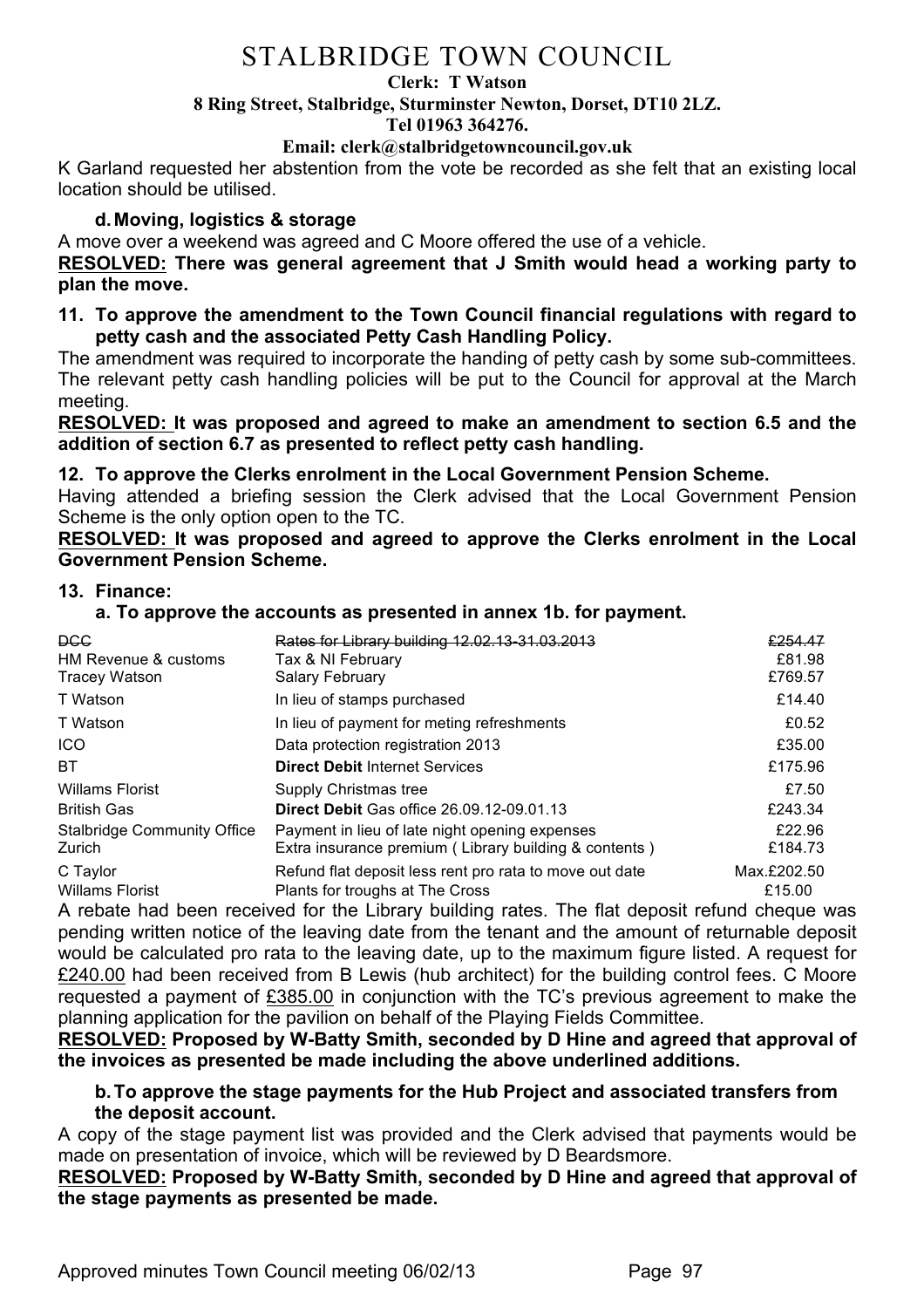### **Clerk: T Watson**

### **8 Ring Street, Stalbridge, Sturminster Newton, Dorset, DT10 2LZ.**

**Tel 01963 364276.** 

### **Email: clerk@stalbridgetowncouncil.gov.uk**

K Garland requested her abstention from the vote be recorded as she felt that an existing local location should be utilised.

## **d.Moving, logistics & storage**

A move over a weekend was agreed and C Moore offered the use of a vehicle.

**RESOLVED: There was general agreement that J Smith would head a working party to plan the move.** 

# **11. To approve the amendment to the Town Council financial regulations with regard to petty cash and the associated Petty Cash Handling Policy.**

The amendment was required to incorporate the handing of petty cash by some sub-committees. The relevant petty cash handling policies will be put to the Council for approval at the March meeting.

**RESOLVED: It was proposed and agreed to make an amendment to section 6.5 and the addition of section 6.7 as presented to reflect petty cash handling.**

## **12. To approve the Clerks enrolment in the Local Government Pension Scheme.**

Having attended a briefing session the Clerk advised that the Local Government Pension Scheme is the only option open to the TC.

**RESOLVED: It was proposed and agreed to approve the Clerks enrolment in the Local Government Pension Scheme.**

## **13. Finance:**

**a. To approve the accounts as presented in annex 1b. for payment.**

| <b>DGG</b><br>HM Revenue & customs<br><b>Tracey Watson</b> | Rates for Library building 12.02.13-31.03.2013<br>Tax & NI February<br>Salary February                  | £254.47<br>£81.98<br>£769.57 |
|------------------------------------------------------------|---------------------------------------------------------------------------------------------------------|------------------------------|
| T Watson                                                   | In lieu of stamps purchased                                                                             | £14.40                       |
| T Watson                                                   | In lieu of payment for meting refreshments                                                              | £0.52                        |
| <b>ICO</b>                                                 | Data protection registration 2013                                                                       | £35.00                       |
| BT.                                                        | <b>Direct Debit Internet Services</b>                                                                   | £175.96                      |
| <b>Willams Florist</b>                                     | Supply Christmas tree                                                                                   | £7.50                        |
| <b>British Gas</b>                                         | <b>Direct Debit Gas office 26.09.12-09.01.13</b>                                                        | £243.34                      |
| <b>Stalbridge Community Office</b><br>Zurich               | Payment in lieu of late night opening expenses<br>Extra insurance premium (Library building & contents) | £22.96<br>£184.73            |
| C Taylor<br><b>Willams Florist</b>                         | Refund flat deposit less rent pro rata to move out date<br>Plants for troughs at The Cross              | Max.£202.50<br>£15.00        |

A rebate had been received for the Library building rates. The flat deposit refund cheque was pending written notice of the leaving date from the tenant and the amount of returnable deposit would be calculated pro rata to the leaving date, up to the maximum figure listed. A request for £240.00 had been received from B Lewis (hub architect) for the building control fees. C Moore requested a payment of £385.00 in conjunction with the TC's previous agreement to make the planning application for the pavilion on behalf of the Playing Fields Committee.

**RESOLVED: Proposed by W-Batty Smith, seconded by D Hine and agreed that approval of the invoices as presented be made including the above underlined additions.**

### **b.To approve the stage payments for the Hub Project and associated transfers from the deposit account.**

A copy of the stage payment list was provided and the Clerk advised that payments would be made on presentation of invoice, which will be reviewed by D Beardsmore.

**RESOLVED: Proposed by W-Batty Smith, seconded by D Hine and agreed that approval of the stage payments as presented be made.**